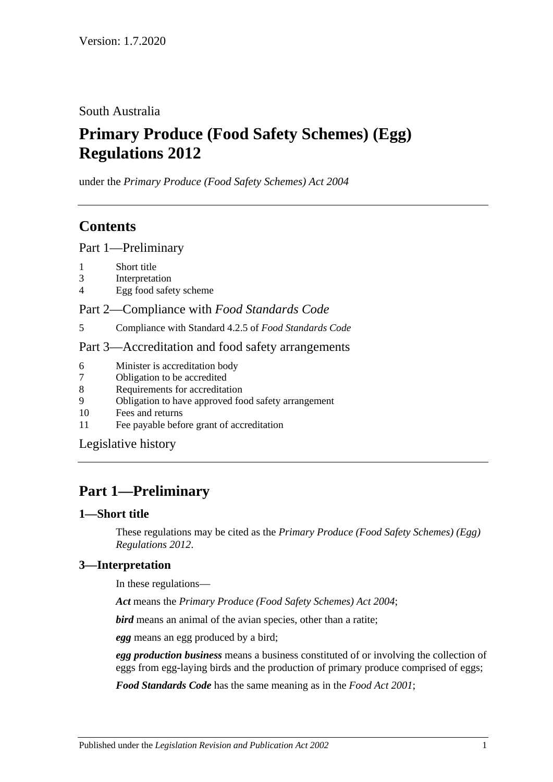South Australia

# **Primary Produce (Food Safety Schemes) (Egg) Regulations 2012**

under the *Primary Produce (Food Safety Schemes) Act 2004*

# **Contents**

Part [1—Preliminary](#page-0-0)

- 1 [Short title](#page-0-1)
- 3 [Interpretation](#page-0-2)
- 4 [Egg food safety scheme](#page-1-0)

Part 2—Compliance with *[Food Standards Code](#page-1-1)*

5 [Compliance with Standard](#page-1-2) 4.2.5 of *Food Standards Code*

### Part [3—Accreditation and food safety arrangements](#page-1-3)

- 6 [Minister is accreditation body](#page-1-4)
- 7 [Obligation to be accredited](#page-1-5)
- 8 [Requirements for accreditation](#page-1-6)
- 9 [Obligation to have approved food safety arrangement](#page-1-7)
- 10 [Fees and returns](#page-2-0)
- 11 [Fee payable before grant of accreditation](#page-2-1)

[Legislative history](#page-3-0)

# <span id="page-0-0"></span>**Part 1—Preliminary**

### <span id="page-0-1"></span>**1—Short title**

These regulations may be cited as the *Primary Produce (Food Safety Schemes) (Egg) Regulations 2012*.

## <span id="page-0-2"></span>**3—Interpretation**

In these regulations—

*Act* means the *[Primary Produce \(Food Safety Schemes\) Act](http://www.legislation.sa.gov.au/index.aspx?action=legref&type=act&legtitle=Primary%20Produce%20(Food%20Safety%20Schemes)%20Act%202004) 2004*;

*bird* means an animal of the avian species, other than a ratite;

*egg* means an egg produced by a bird;

*egg production business* means a business constituted of or involving the collection of eggs from egg-laying birds and the production of primary produce comprised of eggs;

*Food Standards Code* has the same meaning as in the *[Food Act](http://www.legislation.sa.gov.au/index.aspx?action=legref&type=act&legtitle=Food%20Act%202001) 2001*;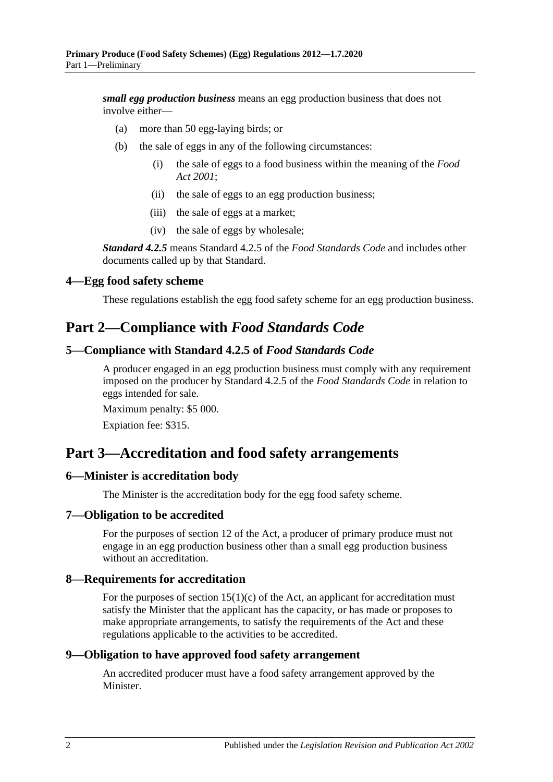*small egg production business* means an egg production business that does not involve either—

- (a) more than 50 egg-laying birds; or
- (b) the sale of eggs in any of the following circumstances:
	- (i) the sale of eggs to a food business within the meaning of the *[Food](http://www.legislation.sa.gov.au/index.aspx?action=legref&type=act&legtitle=Food%20Act%202001)  Act [2001](http://www.legislation.sa.gov.au/index.aspx?action=legref&type=act&legtitle=Food%20Act%202001)*;
	- (ii) the sale of eggs to an egg production business;
	- (iii) the sale of eggs at a market;
	- (iv) the sale of eggs by wholesale;

*Standard 4.2.5* means Standard 4.2.5 of the *Food Standards Code* and includes other documents called up by that Standard.

#### <span id="page-1-0"></span>**4—Egg food safety scheme**

These regulations establish the egg food safety scheme for an egg production business.

## <span id="page-1-1"></span>**Part 2—Compliance with** *Food Standards Code*

### <span id="page-1-2"></span>**5—Compliance with Standard 4.2.5 of** *Food Standards Code*

A producer engaged in an egg production business must comply with any requirement imposed on the producer by Standard 4.2.5 of the *Food Standards Code* in relation to eggs intended for sale.

Maximum penalty: \$5 000.

Expiation fee: \$315.

# <span id="page-1-3"></span>**Part 3—Accreditation and food safety arrangements**

#### <span id="page-1-4"></span>**6—Minister is accreditation body**

The Minister is the accreditation body for the egg food safety scheme.

#### <span id="page-1-5"></span>**7—Obligation to be accredited**

For the purposes of section 12 of the Act, a producer of primary produce must not engage in an egg production business other than a small egg production business without an accreditation.

#### <span id="page-1-6"></span>**8—Requirements for accreditation**

For the purposes of section  $15(1)(c)$  of the Act, an applicant for accreditation must satisfy the Minister that the applicant has the capacity, or has made or proposes to make appropriate arrangements, to satisfy the requirements of the Act and these regulations applicable to the activities to be accredited.

#### <span id="page-1-7"></span>**9—Obligation to have approved food safety arrangement**

An accredited producer must have a food safety arrangement approved by the Minister.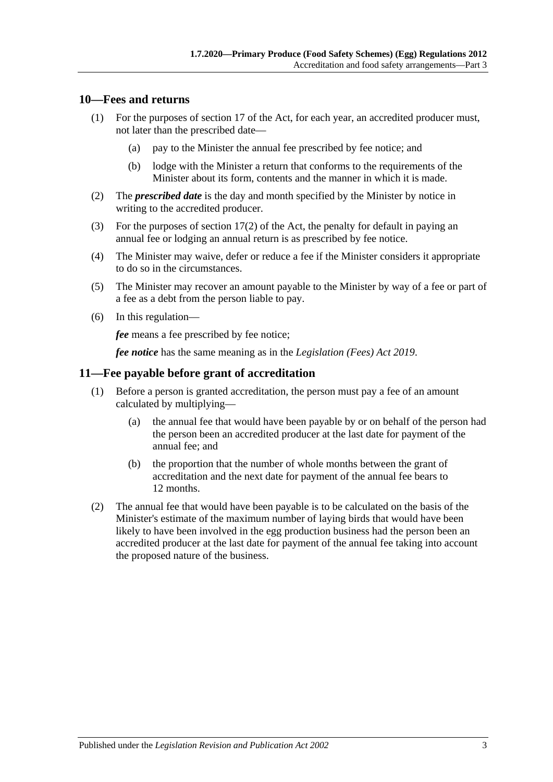#### <span id="page-2-0"></span>**10—Fees and returns**

- (1) For the purposes of section 17 of the Act, for each year, an accredited producer must, not later than the prescribed date—
	- (a) pay to the Minister the annual fee prescribed by fee notice; and
	- (b) lodge with the Minister a return that conforms to the requirements of the Minister about its form, contents and the manner in which it is made.
- (2) The *prescribed date* is the day and month specified by the Minister by notice in writing to the accredited producer.
- (3) For the purposes of section 17(2) of the Act, the penalty for default in paying an annual fee or lodging an annual return is as prescribed by fee notice.
- (4) The Minister may waive, defer or reduce a fee if the Minister considers it appropriate to do so in the circumstances.
- (5) The Minister may recover an amount payable to the Minister by way of a fee or part of a fee as a debt from the person liable to pay.
- (6) In this regulation—

*fee* means a fee prescribed by fee notice;

*fee notice* has the same meaning as in the *[Legislation \(Fees\) Act](http://www.legislation.sa.gov.au/index.aspx?action=legref&type=act&legtitle=Legislation%20(Fees)%20Act%202019) 2019*.

#### <span id="page-2-1"></span>**11—Fee payable before grant of accreditation**

- (1) Before a person is granted accreditation, the person must pay a fee of an amount calculated by multiplying—
	- (a) the annual fee that would have been payable by or on behalf of the person had the person been an accredited producer at the last date for payment of the annual fee; and
	- (b) the proportion that the number of whole months between the grant of accreditation and the next date for payment of the annual fee bears to 12 months.
- (2) The annual fee that would have been payable is to be calculated on the basis of the Minister's estimate of the maximum number of laying birds that would have been likely to have been involved in the egg production business had the person been an accredited producer at the last date for payment of the annual fee taking into account the proposed nature of the business.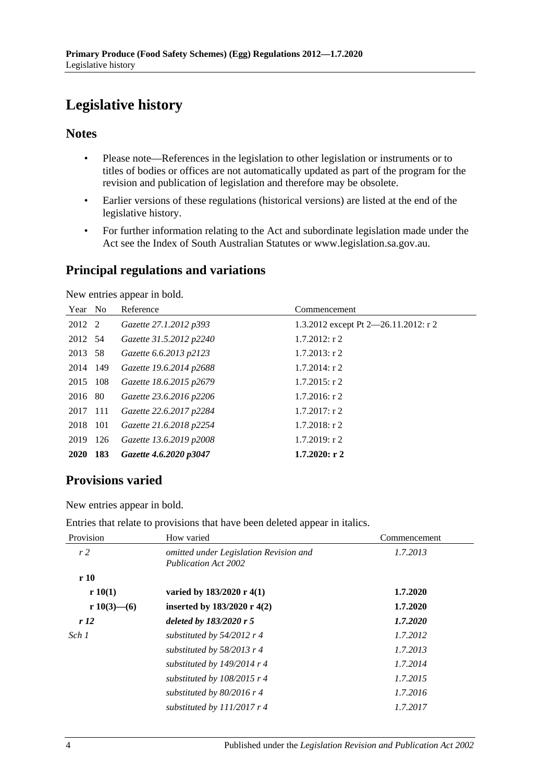# <span id="page-3-0"></span>**Legislative history**

## **Notes**

- Please note—References in the legislation to other legislation or instruments or to titles of bodies or offices are not automatically updated as part of the program for the revision and publication of legislation and therefore may be obsolete.
- Earlier versions of these regulations (historical versions) are listed at the end of the legislative history.
- For further information relating to the Act and subordinate legislation made under the Act see the Index of South Australian Statutes or www.legislation.sa.gov.au.

## **Principal regulations and variations**

New entries appear in bold.

| Year No     |     | Reference               | Commencement                         |
|-------------|-----|-------------------------|--------------------------------------|
| 2012 2      |     | Gazette 27.1.2012 p393  | 1.3.2012 except Pt 2-26.11.2012: r 2 |
| 2012 54     |     | Gazette 31.5.2012 p2240 | $1.7.2012$ : r 2                     |
| 2013 58     |     | Gazette 6.6.2013 p2123  | $1.7.2013$ : r 2                     |
| 2014 149    |     | Gazette 19.6.2014 p2688 | $1.7.2014$ : r 2                     |
| 2015 108    |     | Gazette 18.6.2015 p2679 | $1.7.2015$ : r 2                     |
| 2016 80     |     | Gazette 23.6.2016 p2206 | $1.7.2016$ : r 2                     |
| 2017 111    |     | Gazette 22.6.2017 p2284 | $1.7.2017$ : r 2                     |
| 2018 101    |     | Gazette 21.6.2018 p2254 | $1.7.2018$ : r 2                     |
| 2019        | 126 | Gazette 13.6.2019 p2008 | $1.7.2019$ : r 2                     |
| <b>2020</b> | 183 | Gazette 4.6.2020 p3047  | $1.7.2020:$ r 2                      |

# **Provisions varied**

New entries appear in bold.

| Entries that relate to provisions that have been deleted appear in italics. |  |  |  |
|-----------------------------------------------------------------------------|--|--|--|
|-----------------------------------------------------------------------------|--|--|--|

| Provision   | How varied                                                            | Commencement |
|-------------|-----------------------------------------------------------------------|--------------|
| r2          | omitted under Legislation Revision and<br><b>Publication Act 2002</b> | 1.7.2013     |
| r10         |                                                                       |              |
| r 10(1)     | varied by 183/2020 r 4(1)                                             | 1.7.2020     |
| r 10(3)—(6) | inserted by $183/2020$ r 4(2)                                         | 1.7.2020     |
| r12         | deleted by $183/2020r5$                                               | 1.7.2020     |
| Sch 1       | substituted by $54/2012$ r 4                                          | 1.7.2012     |
|             | substituted by $58/2013$ r 4                                          | 1.7.2013     |
|             | substituted by $149/2014$ r 4                                         | 1.7.2014     |
|             | substituted by $108/2015$ r 4                                         | 1.7.2015     |
|             | substituted by $80/2016$ r 4                                          | 1.7.2016     |
|             | substituted by $111/2017$ r 4                                         | 1.7.2017     |